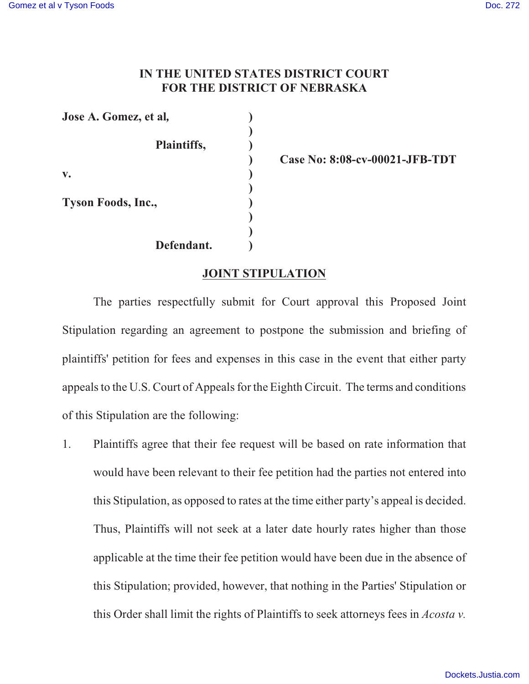## **IN THE UNITED STATES DISTRICT COURT FOR THE DISTRICT OF NEBRASKA**

**Jose A. Gomez, et al***,* **) ) Plaintiffs, ) v. ) ) Tyson Foods, Inc., ) ) ) Defendant. )**

**) Case No: 8:08-cv-00021-JFB-TDT**

## **JOINT STIPULATION**

The parties respectfully submit for Court approval this Proposed Joint Stipulation regarding an agreement to postpone the submission and briefing of plaintiffs' petition for fees and expenses in this case in the event that either party appeals to the U.S. Court of Appeals for the Eighth Circuit. The terms and conditions of this Stipulation are the following:

1. Plaintiffs agree that their fee request will be based on rate information that would have been relevant to their fee petition had the parties not entered into this Stipulation, as opposed to rates at the time either party's appeal is decided. Thus, Plaintiffs will not seek at a later date hourly rates higher than those applicable at the time their fee petition would have been due in the absence of this Stipulation; provided, however, that nothing in the Parties' Stipulation or this Order shall limit the rights of Plaintiffs to seek attorneys fees in *Acosta v.*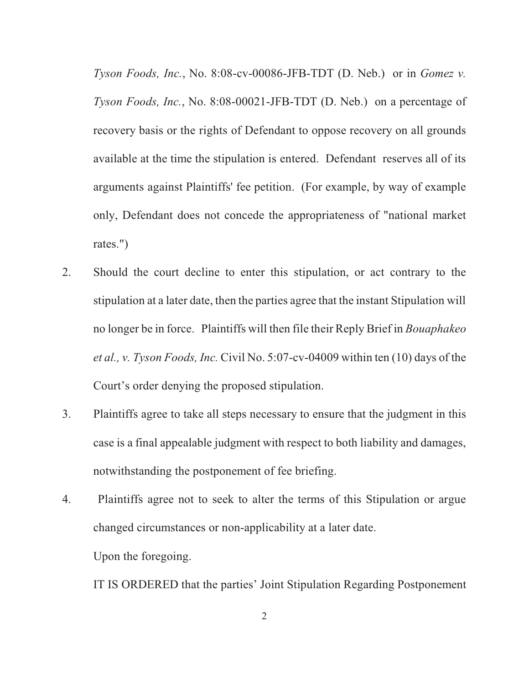*Tyson Foods, Inc.*, No. 8:08-cv-00086-JFB-TDT (D. Neb.) or in *Gomez v. Tyson Foods, Inc.*, No. 8:08-00021-JFB-TDT (D. Neb.) on a percentage of recovery basis or the rights of Defendant to oppose recovery on all grounds available at the time the stipulation is entered. Defendant reserves all of its arguments against Plaintiffs' fee petition. (For example, by way of example only, Defendant does not concede the appropriateness of "national market rates.")

- 2. Should the court decline to enter this stipulation, or act contrary to the stipulation at a later date, then the parties agree that the instant Stipulation will no longer be in force. Plaintiffs will then file their Reply Brief in *Bouaphakeo et al., v. Tyson Foods, Inc.* Civil No. 5:07-cv-04009 within ten (10) days of the Court's order denying the proposed stipulation.
- 3. Plaintiffs agree to take all steps necessary to ensure that the judgment in this case is a final appealable judgment with respect to both liability and damages, notwithstanding the postponement of fee briefing.
- 4. Plaintiffs agree not to seek to alter the terms of this Stipulation or argue changed circumstances or non-applicability at a later date. Upon the foregoing.

IT IS ORDERED that the parties' Joint Stipulation Regarding Postponement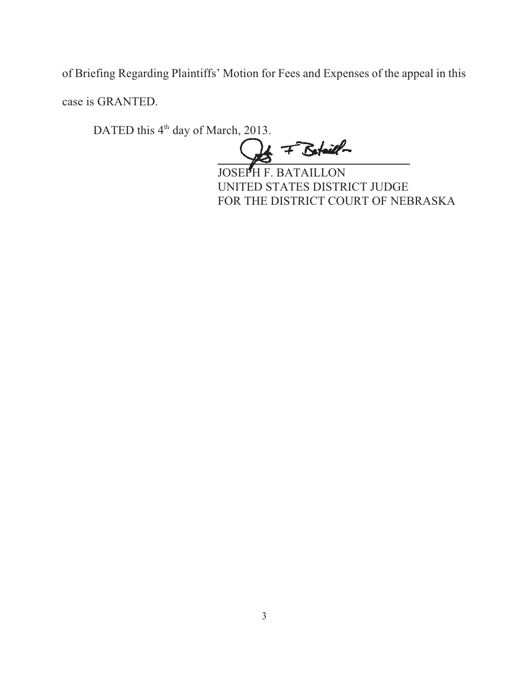of Briefing Regarding Plaintiffs' Motion for Fees and Expenses of the appeal in this case is GRANTED.

DATED this 4<sup>th</sup> day of March, 2013.

 $\frac{1}{2}$  F Botaill-

 $\overline{a}$ JOSEPH F. BATAILLON UNITED STATES DISTRICT JUDGE FOR THE DISTRICT COURT OF NEBRASKA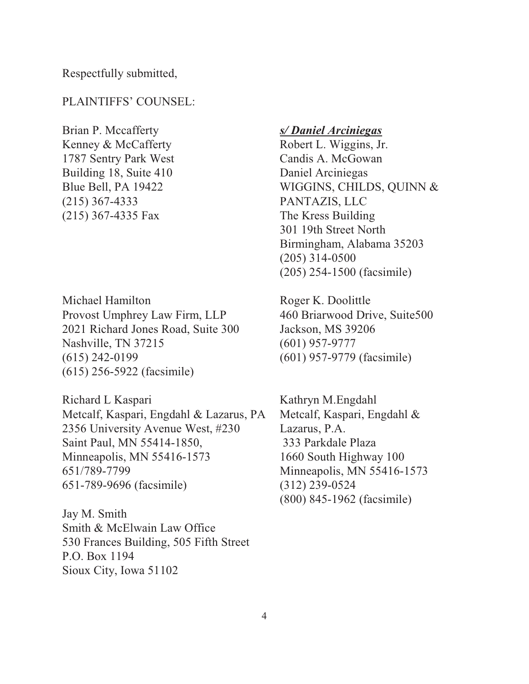Respectfully submitted,

### PLAINTIFFS' COUNSEL:

Brian P. Mccafferty *s/ Daniel Arciniegas* Kenney & McCafferty Robert L. Wiggins, Jr. 1787 Sentry Park West Candis A. McGowan Building 18, Suite 410 Daniel Arciniegas (215) 367-4333 PANTAZIS, LLC (215) 367-4335 Fax The Kress Building

Michael Hamilton Roger K. Doolittle Provost Umphrey Law Firm, LLP 460 Briarwood Drive, Suite500 2021 Richard Jones Road, Suite 300 Jackson, MS 39206 Nashville, TN 37215 (601) 957-9777 (615) 242-0199 (601) 957-9779 (facsimile) (615) 256-5922 (facsimile)

Richard L Kaspari Kathryn M.Engdahl Metcalf, Kaspari, Engdahl & Lazarus, PA Metcalf, Kaspari, Engdahl & 2356 University Avenue West, #230 Lazarus, P.A. Saint Paul, MN 55414-1850, 333 Parkdale Plaza Minneapolis, MN 55416-1573 1660 South Highway 100 651/789-7799 Minneapolis, MN 55416-1573 651-789-9696 (facsimile) (312) 239-0524

Jay M. Smith Smith & McElwain Law Office 530 Frances Building, 505 Fifth Street P.O. Box 1194 Sioux City, Iowa 51102

Blue Bell, PA 19422 WIGGINS, CHILDS, QUINN & 301 19th Street North Birmingham, Alabama 35203 (205) 314-0500 (205) 254-1500 (facsimile)

(800) 845-1962 (facsimile)